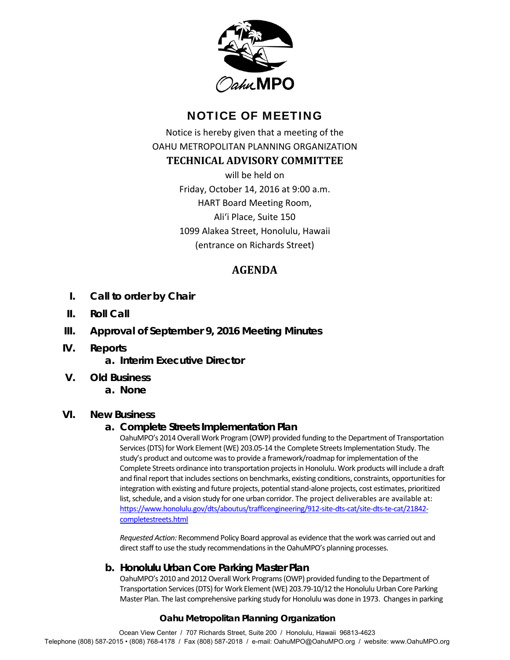

# NOTICE OF MEETING

Notice is hereby given that a meeting of the OAHU METROPOLITAN PLANNING ORGANIZATION

## **TECHNICAL ADVISORY COMMITTEE**

will be held on Friday, October 14, 2016 at 9:00 a.m. HART Board Meeting Room, Ali'i Place, Suite 150 1099 Alakea Street, Honolulu, Hawaii (entrance on Richards Street)

## **AGENDA**

- **I. Call to order by Chair**
- **II. Roll Call**
- **III. Approval of September 9, 2016 Meeting Minutes**
- **IV. Reports** 
	- **a. Interim Executive Director**
- **V. Old Business** 
	- **a. None**

## **VI. New Business**

## **a. Complete Streets Implementation Plan**

OahuMPO's 2014 Overall Work Program (OWP) provided funding to the Department of Transportation Services (DTS) for Work Element (WE) 203.05‐14 the Complete Streets Implementation Study. The study's product and outcome was to provide a framework/roadmap for implementation of the Complete Streets ordinance into transportation projects in Honolulu. Work products will include a draft and final report that includes sections on benchmarks, existing conditions, constraints, opportunities for integration with existing and future projects, potential stand‐alone projects, cost estimates, prioritized list, schedule, and a vision study for one urban corridor. The project deliverables are available at: https://www.honolulu.gov/dts/aboutus/trafficengineering/912‐site‐dts‐cat/site‐dts‐te‐cat/21842‐ completestreets.html

*Requested Action:* Recommend Policy Board approval as evidence that the work was carried out and direct staff to use the study recommendations in the OahuMPO's planning processes.

## **b. Honolulu Urban Core Parking Master Plan**

OahuMPO's 2010 and 2012 Overall Work Programs (OWP) provided funding to the Department of Transportation Services (DTS) for Work Element (WE) 203.79‐10/12 the Honolulu Urban Core Parking Master Plan. The last comprehensive parking study for Honolulu was done in 1973. Changes in parking

## **Oahu Metropolitan Planning Organization**